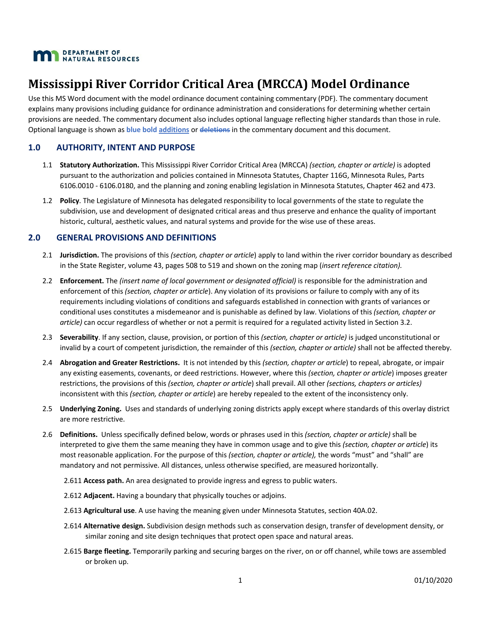

# **Mississippi River Corridor Critical Area (MRCCA) Model Ordinance**

Use this MS Word document with the model ordinance document containing commentary (PDF). The commentary document explains many provisions including guidance for ordinance administration and considerations for determining whether certain provisions are needed. The commentary document also includes optional language reflecting higher standards than those in rule. Optional language is shown as **blue bold additions** or **deletions** in the commentary document and this document.

# **1.0 AUTHORITY, INTENT AND PURPOSE**

- 1.1 **Statutory Authorization.** This Mississippi River Corridor Critical Area (MRCCA) *(section, chapter or article)* is adopted pursuant to the authorization and policies contained in Minnesota Statutes, Chapter 116G, Minnesota Rules, Parts 6106.0010 - 6106.0180, and the planning and zoning enabling legislation in Minnesota Statutes, Chapter 462 and 473.
- 1.2 **Policy**. The Legislature of Minnesota has delegated responsibility to local governments of the state to regulate the subdivision, use and development of designated critical areas and thus preserve and enhance the quality of important historic, cultural, aesthetic values, and natural systems and provide for the wise use of these areas.

## **2.0 GENERAL PROVISIONS AND DEFINITIONS**

- 2.1 **Jurisdiction.** The provisions of this *(section, chapter or article*) apply to land within the river corridor boundary as described in the State Register, volume 43, pages 508 to 519 and shown on the zoning map (*insert reference citation).*
- 2.2 **Enforcement.** The *(insert name of local government or designated official)* is responsible for the administration and enforcement of this *(section, chapter or article*). Any violation of its provisions or failure to comply with any of its requirements including violations of conditions and safeguards established in connection with grants of variances or conditional uses constitutes a misdemeanor and is punishable as defined by law. Violations of this *(section, chapter or article)* can occur regardless of whether or not a permit is required for a regulated activity listed in Section 3.2.
- 2.3 **Severability**. If any section, clause, provision, or portion of this *(section, chapter or article)* is judged unconstitutional or invalid by a court of competent jurisdiction, the remainder of this *(section, chapter or article)* shall not be affected thereby.
- 2.4 **Abrogation and Greater Restrictions.** It is not intended by this *(section, chapter or article*) to repeal, abrogate, or impair any existing easements, covenants, or deed restrictions. However, where this *(section, chapter or article*) imposes greater restrictions, the provisions of this *(section, chapter or article*) shall prevail. All other *(sections, chapters or articles)* inconsistent with this *(section, chapter or article*) are hereby repealed to the extent of the inconsistency only.
- 2.5 **Underlying Zoning.** Uses and standards of underlying zoning districts apply except where standards of this overlay district are more restrictive.
- 2.6 **Definitions.** Unless specifically defined below, words or phrases used in this *(section, chapter or article)* shall be interpreted to give them the same meaning they have in common usage and to give this *(section, chapter or article*) its most reasonable application. For the purpose of this *(section, chapter or article),* the words "must" and "shall" are mandatory and not permissive. All distances, unless otherwise specified, are measured horizontally.
	- 2.611 **Access path.** An area designated to provide ingress and egress to public waters.
	- 2.612 **Adjacent.** Having a boundary that physically touches or adjoins.
	- 2.613 **Agricultural use**. A use having the meaning given under Minnesota Statutes, section 40A.02.
	- 2.614 **Alternative design.** Subdivision design methods such as conservation design, transfer of development density, or similar zoning and site design techniques that protect open space and natural areas.
	- 2.615 **Barge fleeting.** Temporarily parking and securing barges on the river, on or off channel, while tows are assembled or broken up.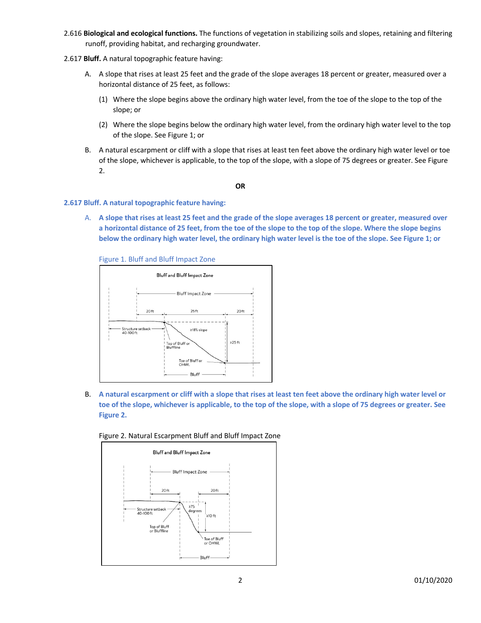- 2.616 **Biological and ecological functions.** The functions of vegetation in stabilizing soils and slopes, retaining and filtering runoff, providing habitat, and recharging groundwater.
- 2.617 **Bluff.** A natural topographic feature having:
	- A. A slope that rises at least 25 feet and the grade of the slope averages 18 percent or greater, measured over a horizontal distance of 25 feet, as follows:
		- (1) Where the slope begins above the ordinary high water level, from the toe of the slope to the top of the slope; or
		- (2) Where the slope begins below the ordinary high water level, from the ordinary high water level to the top of the slope. See Figure 1; or
	- B. A natural escarpment or cliff with a slope that rises at least ten feet above the ordinary high water level or toe of the slope, whichever is applicable, to the top of the slope, with a slope of 75 degrees or greater. See Figure 2.

**OR**

#### **2.617 Bluff. A natural topographic feature having:**

A. **A slope that rises at least 25 feet and the grade of the slope averages 18 percent or greater, measured over a horizontal distance of 25 feet, from the toe of the slope to the top of the slope. Where the slope begins below the ordinary high water level, the ordinary high water level is the toe of the slope. See Figure 1; or**

Figure 1. Bluff and Bluff Impact Zone



B. **A natural escarpment or cliff with a slope that rises at least ten feet above the ordinary high water level or toe of the slope, whichever is applicable, to the top of the slope, with a slope of 75 degrees or greater. See Figure 2.**



Figure 2. Natural Escarpment Bluff and Bluff Impact Zone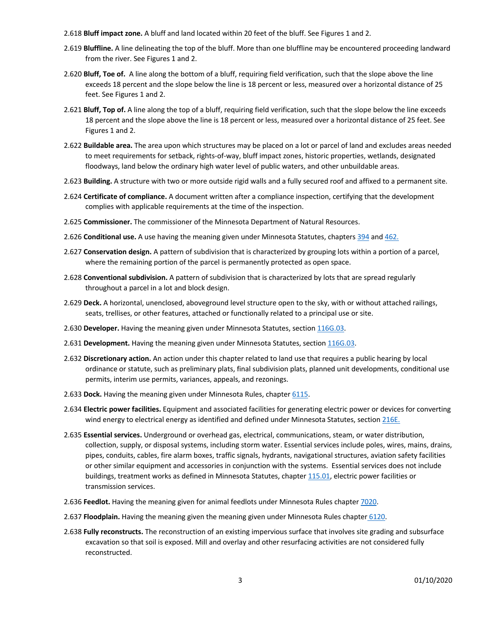- 2.618 **Bluff impact zone.** A bluff and land located within 20 feet of the bluff. See Figures 1 and 2.
- 2.619 **Bluffline.** A line delineating the top of the bluff. More than one bluffline may be encountered proceeding landward from the river. See Figures 1 and 2.
- 2.620 **Bluff, Toe of.** A line along the bottom of a bluff, requiring field verification, such that the slope above the line exceeds 18 percent and the slope below the line is 18 percent or less, measured over a horizontal distance of 25 feet. See Figures 1 and 2.
- 2.621 **Bluff, Top of.** A line along the top of a bluff, requiring field verification, such that the slope below the line exceeds 18 percent and the slope above the line is 18 percent or less, measured over a horizontal distance of 25 feet. See Figures 1 and 2.
- 2.622 **Buildable area.** The area upon which structures may be placed on a lot or parcel of land and excludes areas needed to meet requirements for setback, rights-of-way, bluff impact zones, historic properties, wetlands, designated floodways, land below the ordinary high water level of public waters, and other unbuildable areas.
- 2.623 **Building.** A structure with two or more outside rigid walls and a fully secured roof and affixed to a permanent site.
- 2.624 **Certificate of compliance.** A document written after a compliance inspection, certifying that the development complies with applicable requirements at the time of the inspection.
- 2.625 **Commissioner.** The commissioner of the Minnesota Department of Natural Resources.
- 2.626 **Conditional use.** A use having the meaning given under Minnesota Statutes, chapters 394 and 462.
- 2.627 **Conservation design.** A pattern of subdivision that is characterized by grouping lots within a portion of a parcel, where the remaining portion of the parcel is permanently protected as open space.
- 2.628 **Conventional subdivision.** A pattern of subdivision that is characterized by lots that are spread regularly throughout a parcel in a lot and block design.
- 2.629 **Deck.** A horizontal, unenclosed, aboveground level structure open to the sky, with or without attached railings, seats, trellises, or other features, attached or functionally related to a principal use or site.
- 2.630 **Developer.** Having the meaning given under Minnesota Statutes, section 116G.03.
- 2.631 **Development.** Having the meaning given under Minnesota Statutes, section 116G.03.
- 2.632 **Discretionary action.** An action under this chapter related to land use that requires a public hearing by local ordinance or statute, such as preliminary plats, final subdivision plats, planned unit developments, conditional use permits, interim use permits, variances, appeals, and rezonings.
- 2.633 **Dock.** Having the meaning given under Minnesota Rules, chapter 6115.
- 2.634 **Electric power facilities.** Equipment and associated facilities for generating electric power or devices for converting wind energy to electrical energy as identified and defined under Minnesota Statutes, section 216E.
- 2.635 **Essential services.** Underground or overhead gas, electrical, communications, steam, or water distribution, collection, supply, or disposal systems, including storm water. Essential services include poles, wires, mains, drains, pipes, conduits, cables, fire alarm boxes, traffic signals, hydrants, navigational structures, aviation safety facilities or other similar equipment and accessories in conjunction with the systems. Essential services does not include buildings, treatment works as defined in Minnesota Statutes, chapter 115.01, electric power facilities or transmission services.
- 2.636 **Feedlot.** Having the meaning given for animal feedlots under Minnesota Rules chapter 7020.
- 2.637 **Floodplain.** Having the meaning given the meaning given under Minnesota Rules chapter 6120.
- 2.638 **Fully reconstructs.** The reconstruction of an existing impervious surface that involves site grading and subsurface excavation so that soil is exposed. Mill and overlay and other resurfacing activities are not considered fully reconstructed.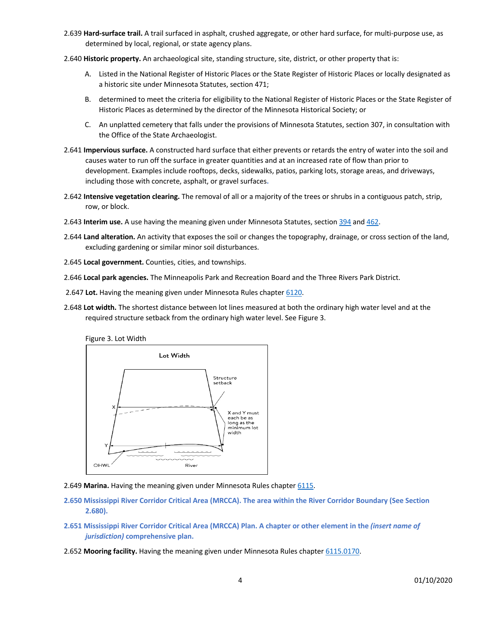- 2.639 **Hard-surface trail.** A trail surfaced in asphalt, crushed aggregate, or other hard surface, for multi-purpose use, as determined by local, regional, or state agency plans.
- 2.640 **Historic property.** An archaeological site, standing structure, site, district, or other property that is:
	- A. Listed in the National Register of Historic Places or the State Register of Historic Places or locally designated as a historic site under Minnesota Statutes, section 471;
	- B. determined to meet the criteria for eligibility to the National Register of Historic Places or the State Register of Historic Places as determined by the director of the Minnesota Historical Society; or
	- C. An unplatted cemetery that falls under the provisions of Minnesota Statutes, section 307, in consultation with the Office of the State Archaeologist.
- 2.641 **Impervious surface.** A constructed hard surface that either prevents or retards the entry of water into the soil and causes water to run off the surface in greater quantities and at an increased rate of flow than prior to development. Examples include rooftops, decks, sidewalks, patios, parking lots, storage areas, and driveways, including those with concrete, asphalt, or gravel surfaces**.**
- 2.642 **Intensive vegetation clearing.** The removal of all or a majority of the trees or shrubs in a contiguous patch, strip, row, or block.
- 2.643 **Interim use.** A use having the meaning given under Minnesota Statutes, section 394 and 462.
- 2.644 **Land alteration.** An activity that exposes the soil or changes the topography, drainage, or cross section of the land, excluding gardening or similar minor soil disturbances.
- 2.645 **Local government.** Counties, cities, and townships.
- 2.646 **Local park agencies.** The Minneapolis Park and Recreation Board and the Three Rivers Park District.
- 2.647 **Lot.** Having the meaning given under Minnesota Rules chapter 6120.
- 2.648 **Lot width.** The shortest distance between lot lines measured at both the ordinary high water level and at the required structure setback from the ordinary high water level. See Figure 3.





- 2.649 **Marina.** Having the meaning given under Minnesota Rules chapter 6115.
- **2.650 Mississippi River Corridor Critical Area (MRCCA). The area within the River Corridor Boundary (See Section 2.680).**
- **2.651 Mississippi River Corridor Critical Area (MRCCA) Plan. A chapter or other element in the** *(insert name of jurisdiction)* **comprehensive plan.**
- 2.652 **Mooring facility.** Having the meaning given under Minnesota Rules chapter 6115.0170.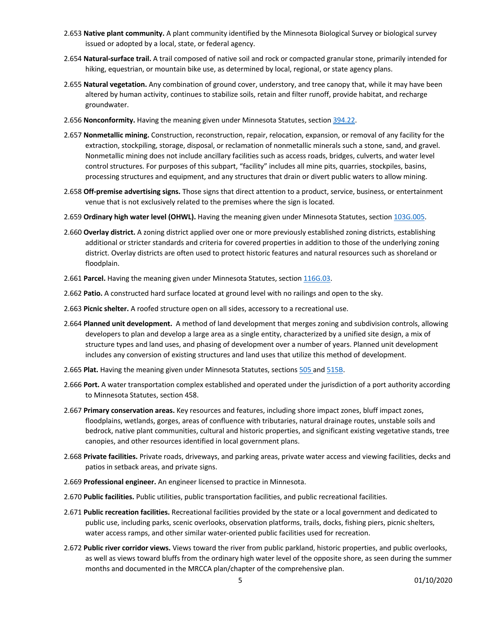- 2.653 **Native plant community.** A plant community identified by the Minnesota Biological Survey or biological survey issued or adopted by a local, state, or federal agency.
- 2.654 **Natural-surface trail.** A trail composed of native soil and rock or compacted granular stone, primarily intended for hiking, equestrian, or mountain bike use, as determined by local, regional, or state agency plans.
- 2.655 **Natural vegetation.** Any combination of ground cover, understory, and tree canopy that, while it may have been altered by human activity, continues to stabilize soils, retain and filter runoff, provide habitat, and recharge groundwater.
- 2.656 **Nonconformity.** Having the meaning given under Minnesota Statutes, section 394.22.
- 2.657 **Nonmetallic mining.** Construction, reconstruction, repair, relocation, expansion, or removal of any facility for the extraction, stockpiling, storage, disposal, or reclamation of nonmetallic minerals such a stone, sand, and gravel. Nonmetallic mining does not include ancillary facilities such as access roads, bridges, culverts, and water level control structures. For purposes of this subpart, "facility" includes all mine pits, quarries, stockpiles, basins, processing structures and equipment, and any structures that drain or divert public waters to allow mining.
- 2.658 **Off-premise advertising signs.** Those signs that direct attention to a product, service, business, or entertainment venue that is not exclusively related to the premises where the sign is located.
- 2.659 **Ordinary high water level (OHWL).** Having the meaning given under Minnesota Statutes, section 103G.005.
- 2.660 **Overlay district.** A zoning district applied over one or more previously established zoning districts, establishing additional or stricter standards and criteria for covered properties in addition to those of the underlying zoning district. Overlay districts are often used to protect historic features and natural resources such as shoreland or floodplain.
- 2.661 Parcel. Having the meaning given under Minnesota Statutes, section 116G.03.
- 2.662 **Patio.** A constructed hard surface located at ground level with no railings and open to the sky.
- 2.663 **Picnic shelter.** A roofed structure open on all sides, accessory to a recreational use.
- 2.664 **Planned unit development.** A method of land development that merges zoning and subdivision controls, allowing developers to plan and develop a large area as a single entity, characterized by a unified site design, a mix of structure types and land uses, and phasing of development over a number of years. Planned unit development includes any conversion of existing structures and land uses that utilize this method of development.
- 2.665 **Plat.** Having the meaning given under Minnesota Statutes, sections 505 and 515B.
- 2.666 **Port.** A water transportation complex established and operated under the jurisdiction of a port authority according to Minnesota Statutes, section 458.
- 2.667 **Primary conservation areas.** Key resources and features, including shore impact zones, bluff impact zones, floodplains, wetlands, gorges, areas of confluence with tributaries, natural drainage routes, unstable soils and bedrock, native plant communities, cultural and historic properties, and significant existing vegetative stands, tree canopies, and other resources identified in local government plans.
- 2.668 **Private facilities.** Private roads, driveways, and parking areas, private water access and viewing facilities, decks and patios in setback areas, and private signs.
- 2.669 **Professional engineer.** An engineer licensed to practice in Minnesota.
- 2.670 **Public facilities.** Public utilities, public transportation facilities, and public recreational facilities.
- 2.671 **Public recreation facilities.** Recreational facilities provided by the state or a local government and dedicated to public use, including parks, scenic overlooks, observation platforms, trails, docks, fishing piers, picnic shelters, water access ramps, and other similar water-oriented public facilities used for recreation.
- 2.672 **Public river corridor views.** Views toward the river from public parkland, historic properties, and public overlooks, as well as views toward bluffs from the ordinary high water level of the opposite shore, as seen during the summer months and documented in the MRCCA plan/chapter of the comprehensive plan.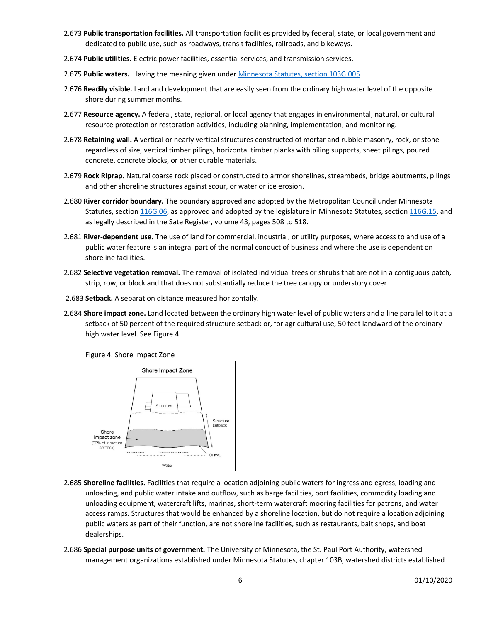- 2.673 **Public transportation facilities.** All transportation facilities provided by federal, state, or local government and dedicated to public use, such as roadways, transit facilities, railroads, and bikeways.
- 2.674 **Public utilities.** Electric power facilities, essential services, and transmission services.
- 2.675 **Public waters.** Having the meaning given under Minnesota Statutes, section 103G.005.
- 2.676 **Readily visible.** Land and development that are easily seen from the ordinary high water level of the opposite shore during summer months.
- 2.677 **Resource agency.** A federal, state, regional, or local agency that engages in environmental, natural, or cultural resource protection or restoration activities, including planning, implementation, and monitoring.
- 2.678 **Retaining wall.** A vertical or nearly vertical structures constructed of mortar and rubble masonry, rock, or stone regardless of size, vertical timber pilings, horizontal timber planks with piling supports, sheet pilings, poured concrete, concrete blocks, or other durable materials.
- 2.679 **Rock Riprap.** Natural coarse rock placed or constructed to armor shorelines, streambeds, bridge abutments, pilings and other shoreline structures against scour, or water or ice erosion.
- 2.680 **River corridor boundary.** The boundary approved and adopted by the Metropolitan Council under Minnesota Statutes, section 116G.06, as approved and adopted by the legislature in Minnesota Statutes, section 116G.15, and as legally described in the Sate Register, volume 43, pages 508 to 518.
- 2.681 **River-dependent use.** The use of land for commercial, industrial, or utility purposes, where access to and use of a public water feature is an integral part of the normal conduct of business and where the use is dependent on shoreline facilities.
- 2.682 **Selective vegetation removal.** The removal of isolated individual trees or shrubs that are not in a contiguous patch, strip, row, or block and that does not substantially reduce the tree canopy or understory cover.
- 2.683 **Setback.** A separation distance measured horizontally.
- 2.684 **Shore impact zone.** Land located between the ordinary high water level of public waters and a line parallel to it at a setback of 50 percent of the required structure setback or, for agricultural use, 50 feet landward of the ordinary high water level. See Figure 4.

Figure 4. Shore Impact Zone



- 2.685 **Shoreline facilities.** Facilities that require a location adjoining public waters for ingress and egress, loading and unloading, and public water intake and outflow, such as barge facilities, port facilities, commodity loading and unloading equipment, watercraft lifts, marinas, short-term watercraft mooring facilities for patrons, and water access ramps. Structures that would be enhanced by a shoreline location, but do not require a location adjoining public waters as part of their function, are not shoreline facilities, such as restaurants, bait shops, and boat dealerships.
- 2.686 **Special purpose units of government.** The University of Minnesota, the St. Paul Port Authority, watershed management organizations established under Minnesota Statutes, chapter 103B, watershed districts established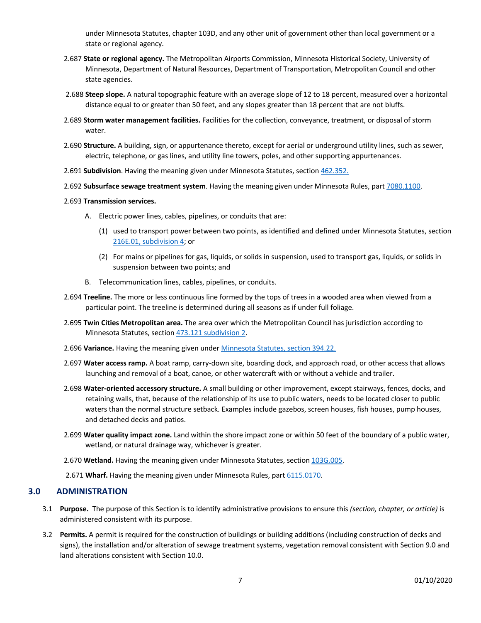under Minnesota Statutes, chapter 103D, and any other unit of government other than local government or a state or regional agency.

- 2.687 **State or regional agency.** The Metropolitan Airports Commission, Minnesota Historical Society, University of Minnesota, Department of Natural Resources, Department of Transportation, Metropolitan Council and other state agencies.
- 2.688 **Steep slope.** A natural topographic feature with an average slope of 12 to 18 percent, measured over a horizontal distance equal to or greater than 50 feet, and any slopes greater than 18 percent that are not bluffs.
- 2.689 **Storm water management facilities.** Facilities for the collection, conveyance, treatment, or disposal of storm water.
- 2.690 **Structure.** A building, sign, or appurtenance thereto, except for aerial or underground utility lines, such as sewer, electric, telephone, or gas lines, and utility line towers, poles, and other supporting appurtenances.
- 2.691 **Subdivision**. Having the meaning given under Minnesota Statutes, section 462.352.
- 2.692 **Subsurface sewage treatment system**. Having the meaning given under Minnesota Rules, part 7080.1100.
- 2.693 **Transmission services.**
	- A. Electric power lines, cables, pipelines, or conduits that are:
		- (1) used to transport power between two points, as identified and defined under Minnesota Statutes, section 216E.01, subdivision 4; or
		- (2) For mains or pipelines for gas, liquids, or solids in suspension, used to transport gas, liquids, or solids in suspension between two points; and
	- B. Telecommunication lines, cables, pipelines, or conduits.
- 2.694 **Treeline.** The more or less continuous line formed by the tops of trees in a wooded area when viewed from a particular point. The treeline is determined during all seasons as if under full foliage.
- 2.695 **Twin Cities Metropolitan area.** The area over which the Metropolitan Council has jurisdiction according to Minnesota Statutes, section 473.121 subdivision 2.
- 2.696 **Variance.** Having the meaning given under Minnesota Statutes, section 394.22.
- 2.697 **Water access ramp.** A boat ramp, carry-down site, boarding dock, and approach road, or other access that allows launching and removal of a boat, canoe, or other watercraft with or without a vehicle and trailer.
- 2.698 **Water-oriented accessory structure.** A small building or other improvement, except stairways, fences, docks, and retaining walls, that, because of the relationship of its use to public waters, needs to be located closer to public waters than the normal structure setback. Examples include gazebos, screen houses, fish houses, pump houses, and detached decks and patios.
- 2.699 **Water quality impact zone.** Land within the shore impact zone or within 50 feet of the boundary of a public water, wetland, or natural drainage way, whichever is greater.
- 2.670 **Wetland.** Having the meaning given under Minnesota Statutes, section 103G.005.
- 2.671 **Wharf.** Having the meaning given under Minnesota Rules, part 6115.0170.

# **3.0 ADMINISTRATION**

- 3.1 **Purpose.** The purpose of this Section is to identify administrative provisions to ensure this *(section, chapter, or article)* is administered consistent with its purpose.
- 3.2 **Permits.** A permit is required for the construction of buildings or building additions (including construction of decks and signs), the installation and/or alteration of sewage treatment systems, vegetation removal consistent with Section 9.0 and land alterations consistent with Section 10.0.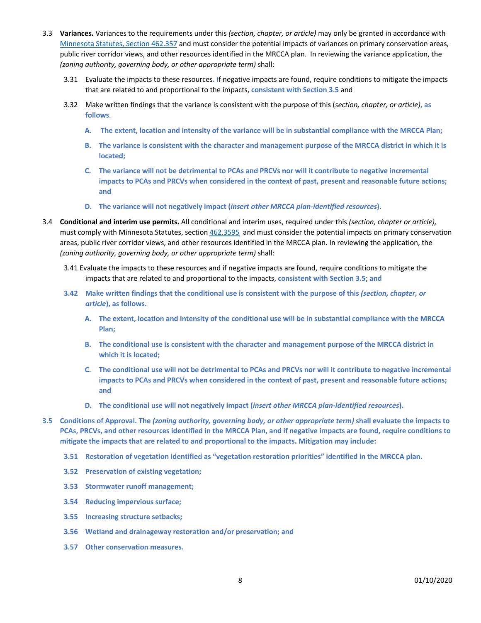- 3.3 **Variances.** Variances to the requirements under this *(section, chapter, or article)* may only be granted in accordance with Minnesota Statutes, Section 462.357 and must consider the potential impacts of variances on primary conservation areas, public river corridor views, and other resources identified in the MRCCA plan. In reviewing the variance application, the *(zoning authority, governing body, or other appropriate term)* shall:
	- 3.31 Evaluate the impacts to these resources**.** If negative impacts are found, require conditions to mitigate the impacts that are related to and proportional to the impacts, **consistent with Section 3.5** and
	- 3.32 Make written findings that the variance is consistent with the purpose of this (*section, chapter, or article)***, as follows**.
		- **A. The extent, location and intensity of the variance will be in substantial compliance with the MRCCA Plan;**
		- **B. The variance is consistent with the character and management purpose of the MRCCA district in which it is located;**
		- **C. The variance will not be detrimental to PCAs and PRCVs nor will it contribute to negative incremental impacts to PCAs and PRCVs when considered in the context of past, present and reasonable future actions; and**
		- **D. The variance will not negatively impact (***insert other MRCCA plan-identified resources***).**
- 3.4 **Conditional and interim use permits.** All conditional and interim uses, required under this *(section, chapter or article),* must comply with Minnesota Statutes, section 462.3595 and must consider the potential impacts on primary conservation areas, public river corridor views, and other resources identified in the MRCCA plan. In reviewing the application, the *(zoning authority, governing body, or other appropriate term)* shall:
	- 3.41 Evaluate the impacts to these resources and if negative impacts are found, require conditions to mitigate the impacts that are related to and proportional to the impacts, **consistent with Section 3.5**; **and**
	- **3.42** Make written findings that the conditional use is consistent with the purpose of this (section, chapter, or *article***), as follows.**
		- **A. The extent, location and intensity of the conditional use will be in substantial compliance with the MRCCA Plan;**
		- **B. The conditional use is consistent with the character and management purpose of the MRCCA district in which it is located;**
		- **C. The conditional use will not be detrimental to PCAs and PRCVs nor will it contribute to negative incremental impacts to PCAs and PRCVs when considered in the context of past, present and reasonable future actions; and**
		- **D. The conditional use will not negatively impact (***insert other MRCCA plan-identified resources***).**
- **3.5 Conditions of Approval. The** *(zoning authority, governing body, or other appropriate term)* **shall evaluate the impacts to PCAs, PRCVs, and other resources identified in the MRCCA Plan, and if negative impacts are found, require conditions to mitigate the impacts that are related to and proportional to the impacts. Mitigation may include:**
	- **3.51 Restoration of vegetation identified as "vegetation restoration priorities" identified in the MRCCA plan.**
	- **3.52 Preservation of existing vegetation;**
	- **3.53 Stormwater runoff management;**
	- **3.54 Reducing impervious surface;**
	- **3.55 Increasing structure setbacks;**
	- **3.56 Wetland and drainageway restoration and/or preservation; and**
	- **3.57 Other conservation measures.**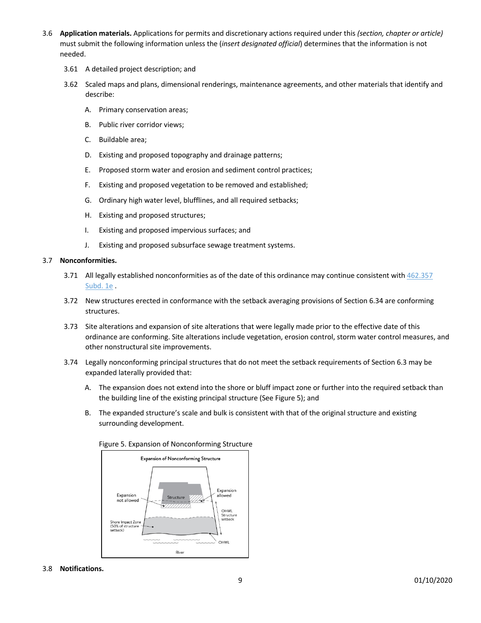- 3.6 **Application materials.** Applications for permits and discretionary actions required under this *(section, chapter or article)*  must submit the following information unless the (*insert designated official*) determines that the information is not needed.
	- 3.61 A detailed project description; and
	- 3.62 Scaled maps and plans, dimensional renderings, maintenance agreements, and other materials that identify and describe:
		- A. Primary conservation areas;
		- B. Public river corridor views;
		- C. Buildable area;
		- D. Existing and proposed topography and drainage patterns;
		- E. Proposed storm water and erosion and sediment control practices;
		- F. Existing and proposed vegetation to be removed and established;
		- G. Ordinary high water level, blufflines, and all required setbacks;
		- H. Existing and proposed structures;
		- I. Existing and proposed impervious surfaces; and
		- J. Existing and proposed subsurface sewage treatment systems.

#### 3.7 **Nonconformities.**

- 3.71 All legally established nonconformities as of the date of this ordinance may continue consistent with 462.357 Subd. 1e .
- 3.72 New structures erected in conformance with the setback averaging provisions of Section 6.34 are conforming structures.
- 3.73 Site alterations and expansion of site alterations that were legally made prior to the effective date of this ordinance are conforming. Site alterations include vegetation, erosion control, storm water control measures, and other nonstructural site improvements.
- 3.74 Legally nonconforming principal structures that do not meet the setback requirements of Section 6.3 may be expanded laterally provided that:
	- A. The expansion does not extend into the shore or bluff impact zone or further into the required setback than the building line of the existing principal structure (See Figure 5); and
	- B. The expanded structure's scale and bulk is consistent with that of the original structure and existing surrounding development.



#### Figure 5. Expansion of Nonconforming Structure

# 3.8 **Notifications.**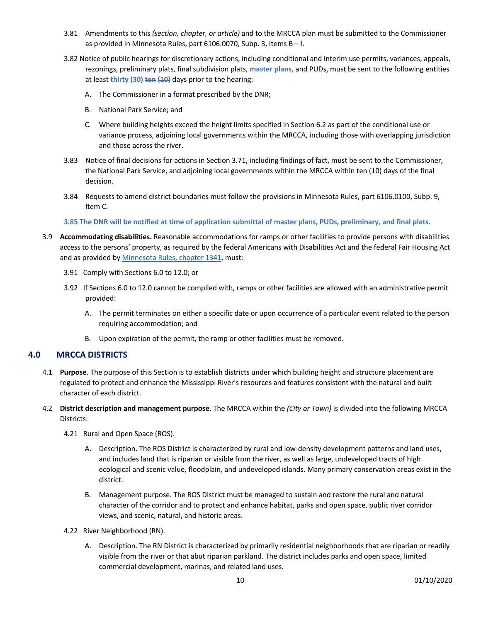- 3.81 Amendments to this *(section, chapter, or article)* and to the MRCCA plan must be submitted to the Commissioner as provided in Minnesota Rules, part 6106.0070, Subp. 3, Items B – I.
- 3.82 Notice of public hearings for discretionary actions, including conditional and interim use permits, variances, appeals, rezonings, preliminary plats, final subdivision plats, **master plans,** and PUDs, must be sent to the following entities at least **thirty (30) ten (10)** days prior to the hearing:
	- A. The Commissioner in a format prescribed by the DNR;
	- B. National Park Service; and
	- C. Where building heights exceed the height limits specified in Section 6.2 as part of the conditional use or variance process, adjoining local governments within the MRCCA, including those with overlapping jurisdiction and those across the river.
- 3.83 Notice of final decisions for actions in Section 3.71, including findings of fact, must be sent to the Commissioner, the National Park Service, and adjoining local governments within the MRCCA within ten (10) days of the final decision.
- 3.84 Requests to amend district boundaries must follow the provisions in Minnesota Rules, part 6106.0100, Subp. 9, Item C.
- **3.85 The DNR will be notified at time of application submittal of master plans, PUDs, preliminary, and final plats.**
- 3.9 **Accommodating disabilities.** Reasonable accommodations for ramps or other facilities to provide persons with disabilities access to the persons' property, as required by the federal Americans with Disabilities Act and the federal Fair Housing Act and as provided by Minnesota Rules, chapter 1341, must:
	- 3.91 Comply with Sections 6.0 to 12.0; or
	- 3.92 If Sections 6.0 to 12.0 cannot be complied with, ramps or other facilities are allowed with an administrative permit provided:
		- A. The permit terminates on either a specific date or upon occurrence of a particular event related to the person requiring accommodation; and
		- B. Upon expiration of the permit, the ramp or other facilities must be removed.

## **4.0 MRCCA DISTRICTS**

- 4.1 **Purpose**. The purpose of this Section is to establish districts under which building height and structure placement are regulated to protect and enhance the Mississippi River's resources and features consistent with the natural and built character of each district.
- 4.2 **District description and management purpose**. The MRCCA within the *(City or Town)* is divided into the following MRCCA Districts:
	- 4.21 Rural and Open Space (ROS).
		- A. Description. The ROS District is characterized by rural and low-density development patterns and land uses, and includes land that is riparian or visible from the river, as well as large, undeveloped tracts of high ecological and scenic value, floodplain, and undeveloped islands. Many primary conservation areas exist in the district.
		- B. Management purpose. The ROS District must be managed to sustain and restore the rural and natural character of the corridor and to protect and enhance habitat, parks and open space, public river corridor views, and scenic, natural, and historic areas.
	- 4.22 River Neighborhood (RN).
		- A. Description. The RN District is characterized by primarily residential neighborhoods that are riparian or readily visible from the river or that abut riparian parkland. The district includes parks and open space, limited commercial development, marinas, and related land uses.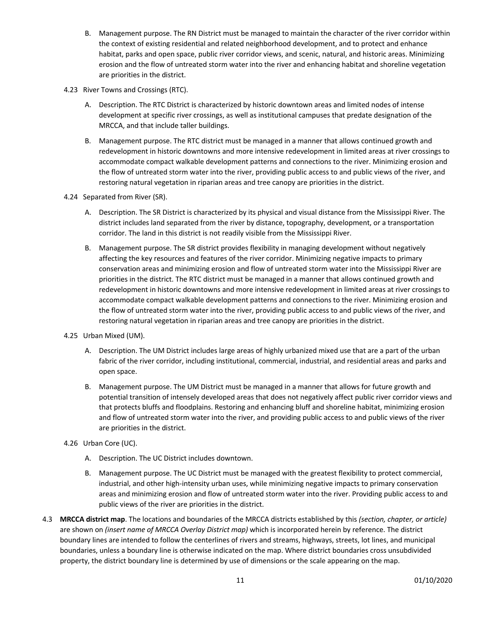- B. Management purpose. The RN District must be managed to maintain the character of the river corridor within the context of existing residential and related neighborhood development, and to protect and enhance habitat, parks and open space, public river corridor views, and scenic, natural, and historic areas. Minimizing erosion and the flow of untreated storm water into the river and enhancing habitat and shoreline vegetation are priorities in the district.
- 4.23 River Towns and Crossings (RTC).
	- A. Description. The RTC District is characterized by historic downtown areas and limited nodes of intense development at specific river crossings, as well as institutional campuses that predate designation of the MRCCA, and that include taller buildings.
	- B. Management purpose. The RTC district must be managed in a manner that allows continued growth and redevelopment in historic downtowns and more intensive redevelopment in limited areas at river crossings to accommodate compact walkable development patterns and connections to the river. Minimizing erosion and the flow of untreated storm water into the river, providing public access to and public views of the river, and restoring natural vegetation in riparian areas and tree canopy are priorities in the district.
- 4.24 Separated from River (SR).
	- A. Description. The SR District is characterized by its physical and visual distance from the Mississippi River. The district includes land separated from the river by distance, topography, development, or a transportation corridor. The land in this district is not readily visible from the Mississippi River.
	- B. Management purpose. The SR district provides flexibility in managing development without negatively affecting the key resources and features of the river corridor. Minimizing negative impacts to primary conservation areas and minimizing erosion and flow of untreated storm water into the Mississippi River are priorities in the district. The RTC district must be managed in a manner that allows continued growth and redevelopment in historic downtowns and more intensive redevelopment in limited areas at river crossings to accommodate compact walkable development patterns and connections to the river. Minimizing erosion and the flow of untreated storm water into the river, providing public access to and public views of the river, and restoring natural vegetation in riparian areas and tree canopy are priorities in the district.
- 4.25 Urban Mixed (UM).
	- A. Description. The UM District includes large areas of highly urbanized mixed use that are a part of the urban fabric of the river corridor, including institutional, commercial, industrial, and residential areas and parks and open space.
	- B. Management purpose. The UM District must be managed in a manner that allows for future growth and potential transition of intensely developed areas that does not negatively affect public river corridor views and that protects bluffs and floodplains. Restoring and enhancing bluff and shoreline habitat, minimizing erosion and flow of untreated storm water into the river, and providing public access to and public views of the river are priorities in the district.
- 4.26 Urban Core (UC).
	- A. Description. The UC District includes downtown.
	- B. Management purpose. The UC District must be managed with the greatest flexibility to protect commercial, industrial, and other high-intensity urban uses, while minimizing negative impacts to primary conservation areas and minimizing erosion and flow of untreated storm water into the river. Providing public access to and public views of the river are priorities in the district.
- 4.3 **MRCCA district map**. The locations and boundaries of the MRCCA districts established by this *(section, chapter, or article)* are shown on *(insert name of MRCCA Overlay District map)* which is incorporated herein by reference. The district boundary lines are intended to follow the centerlines of rivers and streams, highways, streets, lot lines, and municipal boundaries, unless a boundary line is otherwise indicated on the map. Where district boundaries cross unsubdivided property, the district boundary line is determined by use of dimensions or the scale appearing on the map.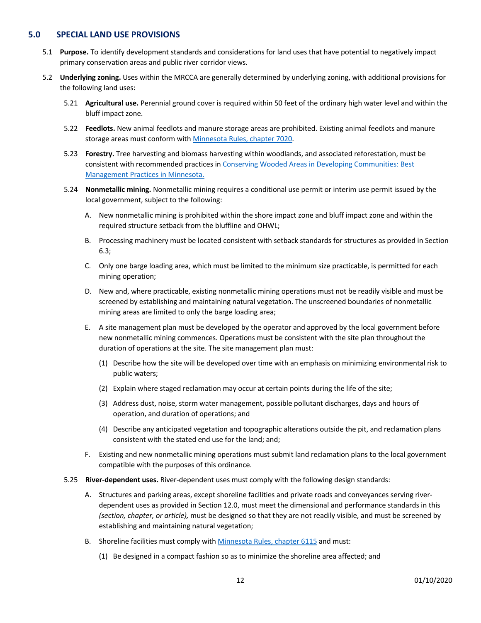## **5.0 SPECIAL LAND USE PROVISIONS**

- 5.1 **Purpose.** To identify development standards and considerations for land uses that have potential to negatively impact primary conservation areas and public river corridor views.
- 5.2 **Underlying zoning.** Uses within the MRCCA are generally determined by underlying zoning, with additional provisions for the following land uses:
	- 5.21 **Agricultural use.** Perennial ground cover is required within 50 feet of the ordinary high water level and within the bluff impact zone.
	- 5.22 **Feedlots.** New animal feedlots and manure storage areas are prohibited. Existing animal feedlots and manure storage areas must conform with Minnesota Rules, chapter 7020.
	- 5.23 **Forestry.** Tree harvesting and biomass harvesting within woodlands, and associated reforestation, must be consistent with recommended practices in Conserving Wooded Areas in Developing Communities: Best Management Practices in Minnesota.
	- 5.24 **Nonmetallic mining.** Nonmetallic mining requires a conditional use permit or interim use permit issued by the local government, subject to the following:
		- A. New nonmetallic mining is prohibited within the shore impact zone and bluff impact zone and within the required structure setback from the bluffline and OHWL;
		- B. Processing machinery must be located consistent with setback standards for structures as provided in Section 6.3;
		- C. Only one barge loading area, which must be limited to the minimum size practicable, is permitted for each mining operation;
		- D. New and, where practicable, existing nonmetallic mining operations must not be readily visible and must be screened by establishing and maintaining natural vegetation. The unscreened boundaries of nonmetallic mining areas are limited to only the barge loading area;
		- E. A site management plan must be developed by the operator and approved by the local government before new nonmetallic mining commences. Operations must be consistent with the site plan throughout the duration of operations at the site. The site management plan must:
			- (1) Describe how the site will be developed over time with an emphasis on minimizing environmental risk to public waters;
			- (2) Explain where staged reclamation may occur at certain points during the life of the site;
			- (3) Address dust, noise, storm water management, possible pollutant discharges, days and hours of operation, and duration of operations; and
			- (4) Describe any anticipated vegetation and topographic alterations outside the pit, and reclamation plans consistent with the stated end use for the land; and;
		- F. Existing and new nonmetallic mining operations must submit land reclamation plans to the local government compatible with the purposes of this ordinance.
	- 5.25 **River-dependent uses.** River-dependent uses must comply with the following design standards:
		- A. Structures and parking areas, except shoreline facilities and private roads and conveyances serving riverdependent uses as provided in Section 12.0, must meet the dimensional and performance standards in this *(section, chapter, or article),* must be designed so that they are not readily visible, and must be screened by establishing and maintaining natural vegetation;
		- B. Shoreline facilities must comply with Minnesota Rules, chapter 6115 and must:
			- (1) Be designed in a compact fashion so as to minimize the shoreline area affected; and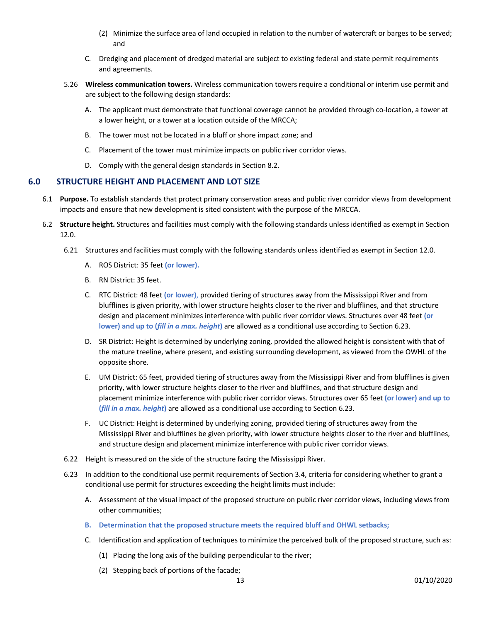- (2) Minimize the surface area of land occupied in relation to the number of watercraft or barges to be served; and
- C. Dredging and placement of dredged material are subject to existing federal and state permit requirements and agreements.
- 5.26 **Wireless communication towers.** Wireless communication towers require a conditional or interim use permit and are subject to the following design standards:
	- A. The applicant must demonstrate that functional coverage cannot be provided through co-location, a tower at a lower height, or a tower at a location outside of the MRCCA;
	- B. The tower must not be located in a bluff or shore impact zone; and
	- C. Placement of the tower must minimize impacts on public river corridor views.
	- D. Comply with the general design standards in Section 8.2.

# **6.0 STRUCTURE HEIGHT AND PLACEMENT AND LOT SIZE**

- 6.1 **Purpose.** To establish standards that protect primary conservation areas and public river corridor views from development impacts and ensure that new development is sited consistent with the purpose of the MRCCA.
- 6.2 **Structure height.** Structures and facilities must comply with the following standards unless identified as exempt in Section 12.0.
	- 6.21 Structures and facilities must comply with the following standards unless identified as exempt in Section 12.0.
		- A. ROS District: 35 feet **(or lower).**
		- B. RN District: 35 feet.
		- C. RTC District: 48 feet **(or lower)**, provided tiering of structures away from the Mississippi River and from blufflines is given priority, with lower structure heights closer to the river and blufflines, and that structure design and placement minimizes interference with public river corridor views. Structures over 48 feet **(or lower) and up to (***fill in a max. height***)** are allowed as a conditional use according to Section 6.23.
		- D. SR District: Height is determined by underlying zoning, provided the allowed height is consistent with that of the mature treeline, where present, and existing surrounding development, as viewed from the OWHL of the opposite shore.
		- E. UM District: 65 feet, provided tiering of structures away from the Mississippi River and from blufflines is given priority, with lower structure heights closer to the river and blufflines, and that structure design and placement minimize interference with public river corridor views. Structures over 65 feet **(or lower) and up to (***fill in a max. height***)** are allowed as a conditional use according to Section 6.23.
		- F. UC District: Height is determined by underlying zoning, provided tiering of structures away from the Mississippi River and blufflines be given priority, with lower structure heights closer to the river and blufflines, and structure design and placement minimize interference with public river corridor views.
	- 6.22 Height is measured on the side of the structure facing the Mississippi River.
	- 6.23 In addition to the conditional use permit requirements of Section 3.4, criteria for considering whether to grant a conditional use permit for structures exceeding the height limits must include:
		- A. Assessment of the visual impact of the proposed structure on public river corridor views, including views from other communities;
		- **B. Determination that the proposed structure meets the required bluff and OHWL setbacks;**
		- C. Identification and application of techniques to minimize the perceived bulk of the proposed structure, such as:
			- (1) Placing the long axis of the building perpendicular to the river;
			- (2) Stepping back of portions of the facade;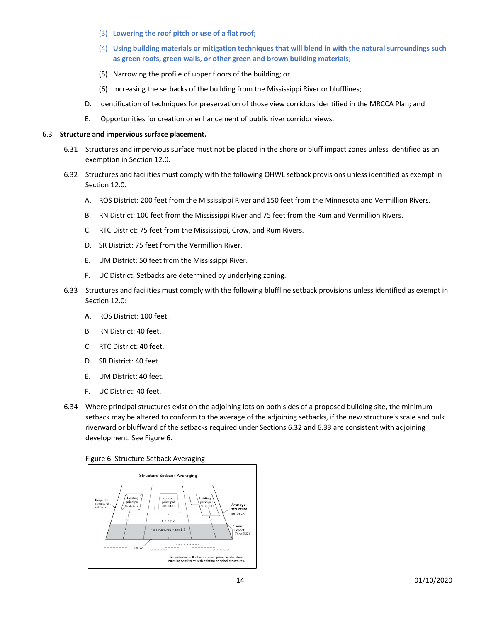- (3) **Lowering the roof pitch or use of a flat roof;**
- (4) **Using building materials or mitigation techniques that will blend in with the natural surroundings such as green roofs, green walls, or other green and brown building materials;**
- (5) Narrowing the profile of upper floors of the building; or
- (6) Increasing the setbacks of the building from the Mississippi River or blufflines;
- D. Identification of techniques for preservation of those view corridors identified in the MRCCA Plan; and
- E. Opportunities for creation or enhancement of public river corridor views.

#### 6.3 **Structure and impervious surface placement.**

- 6.31 Structures and impervious surface must not be placed in the shore or bluff impact zones unless identified as an exemption in Section 12.0.
- 6.32 Structures and facilities must comply with the following OHWL setback provisions unless identified as exempt in Section 12.0.
	- A. ROS District: 200 feet from the Mississippi River and 150 feet from the Minnesota and Vermillion Rivers.
	- B. RN District: 100 feet from the Mississippi River and 75 feet from the Rum and Vermillion Rivers.
	- C. RTC District: 75 feet from the Mississippi, Crow, and Rum Rivers.
	- D. SR District: 75 feet from the Vermillion River.
	- E. UM District: 50 feet from the Mississippi River.
	- F. UC District: Setbacks are determined by underlying zoning.
- 6.33 Structures and facilities must comply with the following bluffline setback provisions unless identified as exempt in Section 12.0:
	- A. ROS District: 100 feet.
	- B. RN District: 40 feet.
	- C. RTC District: 40 feet.
	- D. SR District: 40 feet.
	- E. UM District: 40 feet.
	- F. UC District: 40 feet.
- 6.34 Where principal structures exist on the adjoining lots on both sides of a proposed building site, the minimum setback may be altered to conform to the average of the adjoining setbacks, if the new structure's scale and bulk riverward or bluffward of the setbacks required under Sections 6.32 and 6.33 are consistent with adjoining development. See Figure 6.



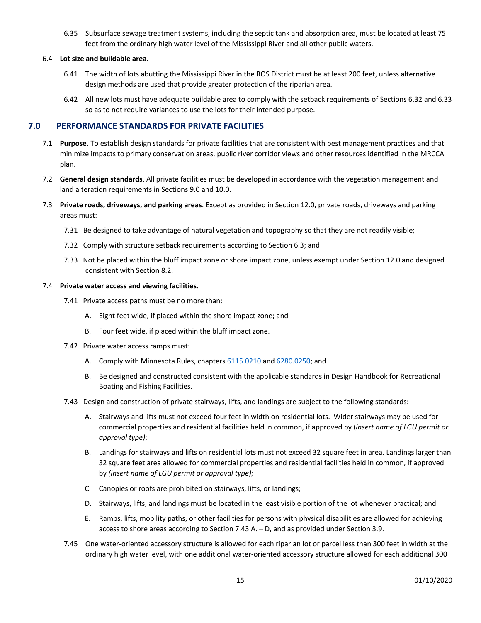6.35 Subsurface sewage treatment systems, including the septic tank and absorption area, must be located at least 75 feet from the ordinary high water level of the Mississippi River and all other public waters.

## 6.4 **Lot size and buildable area.**

- 6.41 The width of lots abutting the Mississippi River in the ROS District must be at least 200 feet, unless alternative design methods are used that provide greater protection of the riparian area.
- 6.42 All new lots must have adequate buildable area to comply with the setback requirements of Sections 6.32 and 6.33 so as to not require variances to use the lots for their intended purpose.

## **7.0 PERFORMANCE STANDARDS FOR PRIVATE FACILITIES**

- 7.1 **Purpose.** To establish design standards for private facilities that are consistent with best management practices and that minimize impacts to primary conservation areas, public river corridor views and other resources identified in the MRCCA plan.
- 7.2 **General design standards**. All private facilities must be developed in accordance with the vegetation management and land alteration requirements in Sections 9.0 and 10.0.
- 7.3 **Private roads, driveways, and parking areas**. Except as provided in Section 12.0, private roads, driveways and parking areas must:
	- 7.31 Be designed to take advantage of natural vegetation and topography so that they are not readily visible;
	- 7.32 Comply with structure setback requirements according to Section 6.3; and
	- 7.33 Not be placed within the bluff impact zone or shore impact zone, unless exempt under Section 12.0 and designed consistent with Section 8.2.

#### 7.4 **Private water access and viewing facilities.**

- 7.41 Private access paths must be no more than:
	- A. Eight feet wide, if placed within the shore impact zone; and
	- B. Four feet wide, if placed within the bluff impact zone.
- 7.42 Private water access ramps must:
	- A. Comply with Minnesota Rules, chapters 6115.0210 and 6280.0250; and
	- B. Be designed and constructed consistent with the applicable standards in Design Handbook for Recreational Boating and Fishing Facilities.
- 7.43 Design and construction of private stairways, lifts, and landings are subject to the following standards:
	- A. Stairways and lifts must not exceed four feet in width on residential lots. Wider stairways may be used for commercial properties and residential facilities held in common, if approved by (*insert name of LGU permit or approval type)*;
	- B. Landings for stairways and lifts on residential lots must not exceed 32 square feet in area. Landings larger than 32 square feet area allowed for commercial properties and residential facilities held in common, if approved by *(insert name of LGU permit or approval type);*
	- C. Canopies or roofs are prohibited on stairways, lifts, or landings;
	- D. Stairways, lifts, and landings must be located in the least visible portion of the lot whenever practical; and
	- E. Ramps, lifts, mobility paths, or other facilities for persons with physical disabilities are allowed for achieving access to shore areas according to Section 7.43 A. – D, and as provided under Section 3.9.
- 7.45 One water-oriented accessory structure is allowed for each riparian lot or parcel less than 300 feet in width at the ordinary high water level, with one additional water-oriented accessory structure allowed for each additional 300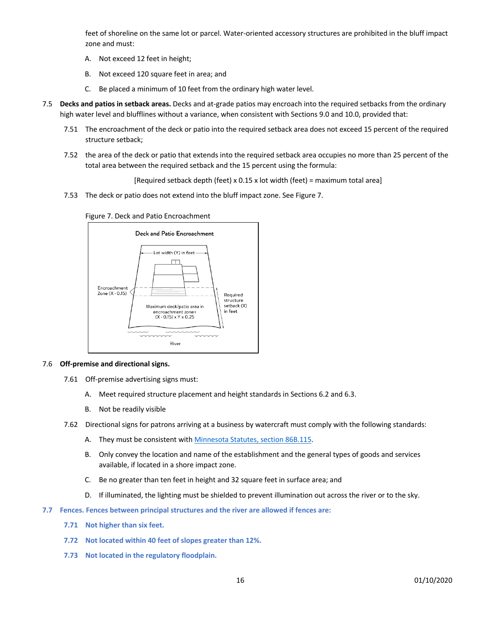feet of shoreline on the same lot or parcel. Water-oriented accessory structures are prohibited in the bluff impact zone and must:

- A. Not exceed 12 feet in height;
- B. Not exceed 120 square feet in area; and
- C. Be placed a minimum of 10 feet from the ordinary high water level.
- 7.5 **Decks and patios in setback areas.** Decks and at-grade patios may encroach into the required setbacks from the ordinary high water level and blufflines without a variance, when consistent with Sections 9.0 and 10.0, provided that:
	- 7.51 The encroachment of the deck or patio into the required setback area does not exceed 15 percent of the required structure setback;
	- 7.52 the area of the deck or patio that extends into the required setback area occupies no more than 25 percent of the total area between the required setback and the 15 percent using the formula:

[Required setback depth (feet) x 0.15 x lot width (feet) = maximum total area]

7.53 The deck or patio does not extend into the bluff impact zone. See Figure 7.





#### 7.6 **Off-premise and directional signs.**

- 7.61 Off-premise advertising signs must:
	- A. Meet required structure placement and height standards in Sections 6.2 and 6.3.
	- B. Not be readily visible
- 7.62 Directional signs for patrons arriving at a business by watercraft must comply with the following standards:
	- A. They must be consistent with Minnesota Statutes, section 86B.115.
	- B. Only convey the location and name of the establishment and the general types of goods and services available, if located in a shore impact zone.
	- C. Be no greater than ten feet in height and 32 square feet in surface area; and
	- D. If illuminated, the lighting must be shielded to prevent illumination out across the river or to the sky.
- **7.7 Fences. Fences between principal structures and the river are allowed if fences are:**
	- **7.71 Not higher than six feet.**
	- **7.72 Not located within 40 feet of slopes greater than 12%.**
	- **7.73 Not located in the regulatory floodplain.**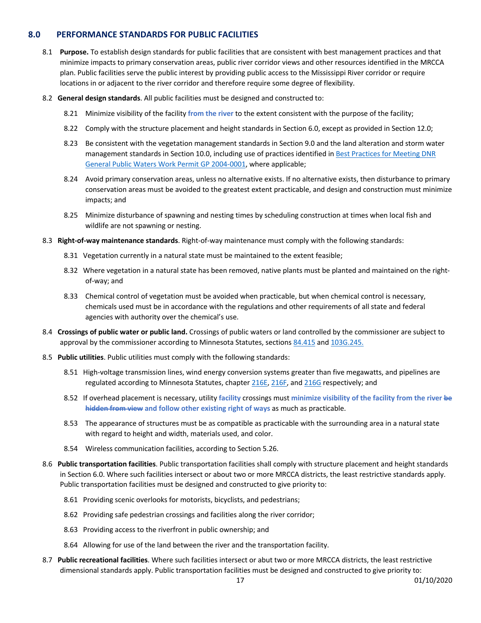# **8.0 PERFORMANCE STANDARDS FOR PUBLIC FACILITIES**

- 8.1 **Purpose.** To establish design standards for public facilities that are consistent with best management practices and that minimize impacts to primary conservation areas, public river corridor views and other resources identified in the MRCCA plan. Public facilities serve the public interest by providing public access to the Mississippi River corridor or require locations in or adjacent to the river corridor and therefore require some degree of flexibility.
- 8.2 **General design standards**. All public facilities must be designed and constructed to:
	- 8.21 Minimize visibility of the facility **from the river** to the extent consistent with the purpose of the facility;
	- 8.22 Comply with the structure placement and height standards in Section 6.0, except as provided in Section 12.0;
	- 8.23 Be consistent with the vegetation management standards in Section 9.0 and the land alteration and storm water management standards in Section 10.0, including use of practices identified in Best Practices for Meeting DNR General Public Waters Work Permit GP 2004-0001, where applicable;
	- 8.24 Avoid primary conservation areas, unless no alternative exists. If no alternative exists, then disturbance to primary conservation areas must be avoided to the greatest extent practicable, and design and construction must minimize impacts; and
	- 8.25 Minimize disturbance of spawning and nesting times by scheduling construction at times when local fish and wildlife are not spawning or nesting.
- 8.3 **Right-of-way maintenance standards**. Right-of-way maintenance must comply with the following standards:
	- 8.31 Vegetation currently in a natural state must be maintained to the extent feasible;
	- 8.32 Where vegetation in a natural state has been removed, native plants must be planted and maintained on the rightof-way; and
	- 8.33 Chemical control of vegetation must be avoided when practicable, but when chemical control is necessary, chemicals used must be in accordance with the regulations and other requirements of all state and federal agencies with authority over the chemical's use.
- 8.4 **Crossings of public water or public land.** Crossings of public waters or land controlled by the commissioner are subject to approval by the commissioner according to Minnesota Statutes, sections 84.415 and 103G.245.
- 8.5 **Public utilities**. Public utilities must comply with the following standards:
	- 8.51 High-voltage transmission lines, wind energy conversion systems greater than five megawatts, and pipelines are regulated according to Minnesota Statutes, chapter 216E, 216F, and 216G respectively; and
	- 8.52 If overhead placement is necessary, utility **facility** crossings must **minimize visibility of the facility from the river be hidden from view and follow other existing right of ways** as much as practicable.
	- 8.53 The appearance of structures must be as compatible as practicable with the surrounding area in a natural state with regard to height and width, materials used, and color.
	- 8.54 Wireless communication facilities, according to Section 5.26.
- 8.6 **Public transportation facilities**. Public transportation facilities shall comply with structure placement and height standards in Section 6.0. Where such facilities intersect or about two or more MRCCA districts, the least restrictive standards apply. Public transportation facilities must be designed and constructed to give priority to:
	- 8.61 Providing scenic overlooks for motorists, bicyclists, and pedestrians;
	- 8.62 Providing safe pedestrian crossings and facilities along the river corridor;
	- 8.63 Providing access to the riverfront in public ownership; and
	- 8.64 Allowing for use of the land between the river and the transportation facility.
- 8.7 **Public recreational facilities**. Where such facilities intersect or abut two or more MRCCA districts, the least restrictive dimensional standards apply. Public transportation facilities must be designed and constructed to give priority to: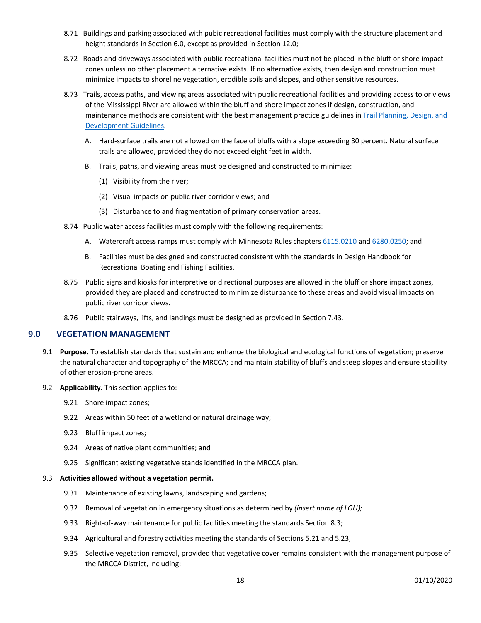- 8.71 Buildings and parking associated with pubic recreational facilities must comply with the structure placement and height standards in Section 6.0, except as provided in Section 12.0;
- 8.72 Roads and driveways associated with public recreational facilities must not be placed in the bluff or shore impact zones unless no other placement alternative exists. If no alternative exists, then design and construction must minimize impacts to shoreline vegetation, erodible soils and slopes, and other sensitive resources.
- 8.73 Trails, access paths, and viewing areas associated with public recreational facilities and providing access to or views of the Mississippi River are allowed within the bluff and shore impact zones if design, construction, and maintenance methods are consistent with the best management practice guidelines in Trail Planning, Design, and Development Guidelines.
	- A. Hard-surface trails are not allowed on the face of bluffs with a slope exceeding 30 percent. Natural surface trails are allowed, provided they do not exceed eight feet in width.
	- B. Trails, paths, and viewing areas must be designed and constructed to minimize:
		- (1) Visibility from the river;
		- (2) Visual impacts on public river corridor views; and
		- (3) Disturbance to and fragmentation of primary conservation areas.
- 8.74 Public water access facilities must comply with the following requirements:
	- A. Watercraft access ramps must comply with Minnesota Rules chapters 6115.0210 and 6280.0250; and
	- B. Facilities must be designed and constructed consistent with the standards in Design Handbook for Recreational Boating and Fishing Facilities.
- 8.75 Public signs and kiosks for interpretive or directional purposes are allowed in the bluff or shore impact zones, provided they are placed and constructed to minimize disturbance to these areas and avoid visual impacts on public river corridor views.
- 8.76 Public stairways, lifts, and landings must be designed as provided in Section 7.43.

## **9.0 VEGETATION MANAGEMENT**

- 9.1 **Purpose.** To establish standards that sustain and enhance the biological and ecological functions of vegetation; preserve the natural character and topography of the MRCCA; and maintain stability of bluffs and steep slopes and ensure stability of other erosion-prone areas.
- 9.2 **Applicability.** This section applies to:
	- 9.21 Shore impact zones;
	- 9.22 Areas within 50 feet of a wetland or natural drainage way;
	- 9.23 Bluff impact zones;
	- 9.24 Areas of native plant communities; and
	- 9.25 Significant existing vegetative stands identified in the MRCCA plan.

#### 9.3 **Activities allowed without a vegetation permit.**

- 9.31 Maintenance of existing lawns, landscaping and gardens;
- 9.32 Removal of vegetation in emergency situations as determined by *(insert name of LGU);*
- 9.33 Right-of-way maintenance for public facilities meeting the standards Section 8.3;
- 9.34 Agricultural and forestry activities meeting the standards of Sections 5.21 and 5.23;
- 9.35 Selective vegetation removal, provided that vegetative cover remains consistent with the management purpose of the MRCCA District, including: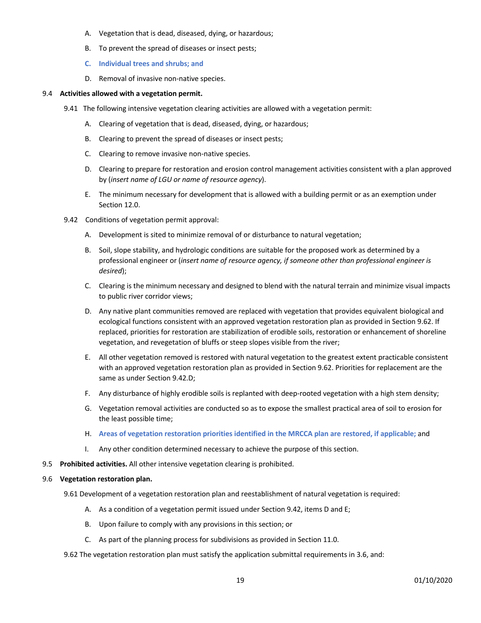- A. Vegetation that is dead, diseased, dying, or hazardous;
- B. To prevent the spread of diseases or insect pests;
- **C. Individual trees and shrubs; and**
- D. Removal of invasive non-native species.

#### 9.4 **Activities allowed with a vegetation permit.**

- 9.41 The following intensive vegetation clearing activities are allowed with a vegetation permit:
	- A. Clearing of vegetation that is dead, diseased, dying, or hazardous;
	- B. Clearing to prevent the spread of diseases or insect pests;
	- C. Clearing to remove invasive non-native species.
	- D. Clearing to prepare for restoration and erosion control management activities consistent with a plan approved by (*insert name of LGU or name of resource agency*).
	- E. The minimum necessary for development that is allowed with a building permit or as an exemption under Section 12.0.
- 9.42 Conditions of vegetation permit approval:
	- A. Development is sited to minimize removal of or disturbance to natural vegetation;
	- B. Soil, slope stability, and hydrologic conditions are suitable for the proposed work as determined by a professional engineer or (*insert name of resource agency, if someone other than professional engineer is desired*);
	- C. Clearing is the minimum necessary and designed to blend with the natural terrain and minimize visual impacts to public river corridor views;
	- D. Any native plant communities removed are replaced with vegetation that provides equivalent biological and ecological functions consistent with an approved vegetation restoration plan as provided in Section 9.62. If replaced, priorities for restoration are stabilization of erodible soils, restoration or enhancement of shoreline vegetation, and revegetation of bluffs or steep slopes visible from the river;
	- E. All other vegetation removed is restored with natural vegetation to the greatest extent practicable consistent with an approved vegetation restoration plan as provided in Section 9.62. Priorities for replacement are the same as under Section 9.42.D;
	- F. Any disturbance of highly erodible soils is replanted with deep-rooted vegetation with a high stem density;
	- G. Vegetation removal activities are conducted so as to expose the smallest practical area of soil to erosion for the least possible time;
	- H. **Areas of vegetation restoration priorities identified in the MRCCA plan are restored, if applicable;** and
	- I. Any other condition determined necessary to achieve the purpose of this section.
- 9.5 **Prohibited activities.** All other intensive vegetation clearing is prohibited.

#### 9.6 **Vegetation restoration plan.**

9.61 Development of a vegetation restoration plan and reestablishment of natural vegetation is required:

- A. As a condition of a vegetation permit issued under Section 9.42, items D and E;
- B. Upon failure to comply with any provisions in this section; or
- C. As part of the planning process for subdivisions as provided in Section 11.0.

9.62 The vegetation restoration plan must satisfy the application submittal requirements in 3.6, and: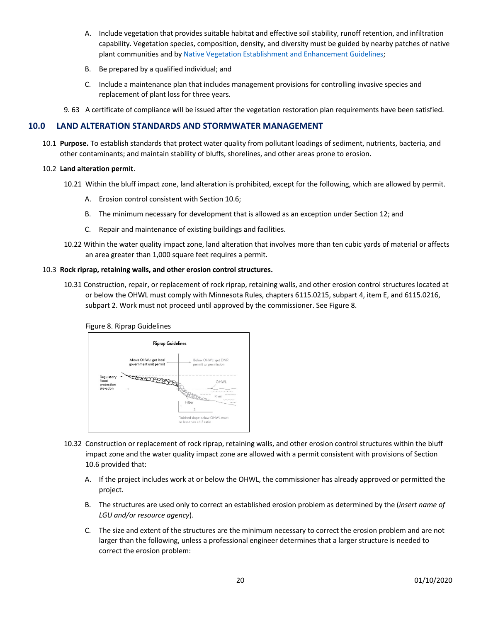- A. Include vegetation that provides suitable habitat and effective soil stability, runoff retention, and infiltration capability. Vegetation species, composition, density, and diversity must be guided by nearby patches of native plant communities and by Native Vegetation Establishment and Enhancement Guidelines;
- B. Be prepared by a qualified individual; and
- C. Include a maintenance plan that includes management provisions for controlling invasive species and replacement of plant loss for three years.
- 9. 63 A certificate of compliance will be issued after the vegetation restoration plan requirements have been satisfied.

# **10.0 LAND ALTERATION STANDARDS AND STORMWATER MANAGEMENT**

10.1 **Purpose.** To establish standards that protect water quality from pollutant loadings of sediment, nutrients, bacteria, and other contaminants; and maintain stability of bluffs, shorelines, and other areas prone to erosion.

#### 10.2 **Land alteration permit**.

- 10.21 Within the bluff impact zone, land alteration is prohibited, except for the following, which are allowed by permit.
	- A. Erosion control consistent with Section 10.6;
	- B. The minimum necessary for development that is allowed as an exception under Section 12; and
	- C. Repair and maintenance of existing buildings and facilities.
- 10.22 Within the water quality impact zone, land alteration that involves more than ten cubic yards of material or affects an area greater than 1,000 square feet requires a permit.

#### 10.3 **Rock riprap, retaining walls, and other erosion control structures.**

10.31 Construction, repair, or replacement of rock riprap, retaining walls, and other erosion control structures located at or below the OHWL must comply with Minnesota Rules, chapters 6115.0215, subpart 4, item E, and 6115.0216, subpart 2. Work must not proceed until approved by the commissioner. See Figure 8.

Figure 8. Riprap Guidelines

|                                                | <b>Riprap Guidelines</b>                        |                                                            |
|------------------------------------------------|-------------------------------------------------|------------------------------------------------------------|
|                                                | Above OHWL: get local<br>government unit permit | Below OHWL: get DNR<br>permit or permission                |
| Regulatory<br>flood<br>protection<br>elevation |                                                 | OHWL                                                       |
|                                                |                                                 | Rive<br>Filter<br>3                                        |
|                                                |                                                 | Finished slope below OHWL must<br>be less than a 1:3 ratio |

- 10.32 Construction or replacement of rock riprap, retaining walls, and other erosion control structures within the bluff impact zone and the water quality impact zone are allowed with a permit consistent with provisions of Section 10.6 provided that:
	- A. If the project includes work at or below the OHWL, the commissioner has already approved or permitted the project.
	- B. The structures are used only to correct an established erosion problem as determined by the (*insert name of LGU and/or resource agency*).
	- C. The size and extent of the structures are the minimum necessary to correct the erosion problem and are not larger than the following, unless a professional engineer determines that a larger structure is needed to correct the erosion problem: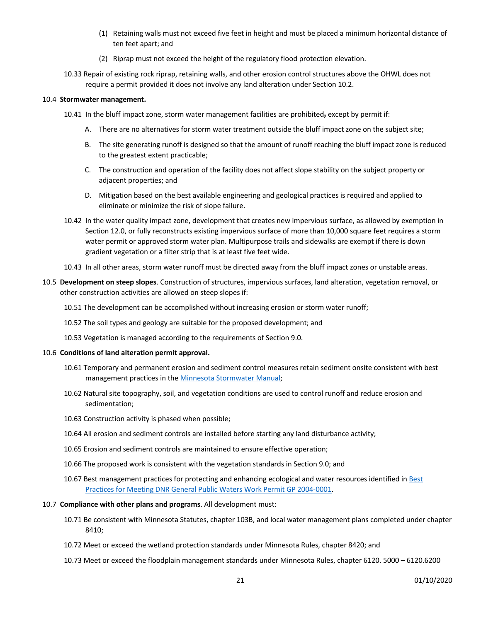- (1) Retaining walls must not exceed five feet in height and must be placed a minimum horizontal distance of ten feet apart; and
- (2) Riprap must not exceed the height of the regulatory flood protection elevation.
- 10.33 Repair of existing rock riprap, retaining walls, and other erosion control structures above the OHWL does not require a permit provided it does not involve any land alteration under Section 10.2.

### 10.4 **Stormwater management.**

- 10.41 In the bluff impact zone, storm water management facilities are prohibited**,** except by permit if:
	- A. There are no alternatives for storm water treatment outside the bluff impact zone on the subject site;
	- B. The site generating runoff is designed so that the amount of runoff reaching the bluff impact zone is reduced to the greatest extent practicable;
	- C. The construction and operation of the facility does not affect slope stability on the subject property or adjacent properties; and
	- D. Mitigation based on the best available engineering and geological practices is required and applied to eliminate or minimize the risk of slope failure.
- 10.42 In the water quality impact zone, development that creates new impervious surface, as allowed by exemption in Section 12.0, or fully reconstructs existing impervious surface of more than 10,000 square feet requires a storm water permit or approved storm water plan. Multipurpose trails and sidewalks are exempt if there is down gradient vegetation or a filter strip that is at least five feet wide.
- 10.43 In all other areas, storm water runoff must be directed away from the bluff impact zones or unstable areas.
- 10.5 **Development on steep slopes**. Construction of structures, impervious surfaces, land alteration, vegetation removal, or other construction activities are allowed on steep slopes if:
	- 10.51 The development can be accomplished without increasing erosion or storm water runoff;
	- 10.52 The soil types and geology are suitable for the proposed development; and
	- 10.53 Vegetation is managed according to the requirements of Section 9.0.

#### 10.6 **Conditions of land alteration permit approval.**

- 10.61 Temporary and permanent erosion and sediment control measures retain sediment onsite consistent with best management practices in the Minnesota Stormwater Manual;
- 10.62 Natural site topography, soil, and vegetation conditions are used to control runoff and reduce erosion and sedimentation;
- 10.63 Construction activity is phased when possible;
- 10.64 All erosion and sediment controls are installed before starting any land disturbance activity;
- 10.65 Erosion and sediment controls are maintained to ensure effective operation;
- 10.66 The proposed work is consistent with the vegetation standards in Section 9.0; and
- 10.67 Best management practices for protecting and enhancing ecological and water resources identified in Best Practices for Meeting DNR General Public Waters Work Permit GP 2004-0001.
- 10.7 **Compliance with other plans and programs**. All development must:
	- 10.71 Be consistent with Minnesota Statutes, chapter 103B, and local water management plans completed under chapter 8410;
	- 10.72 Meet or exceed the wetland protection standards under Minnesota Rules, chapter 8420; and
	- 10.73 Meet or exceed the floodplain management standards under Minnesota Rules, chapter 6120. 5000 6120.6200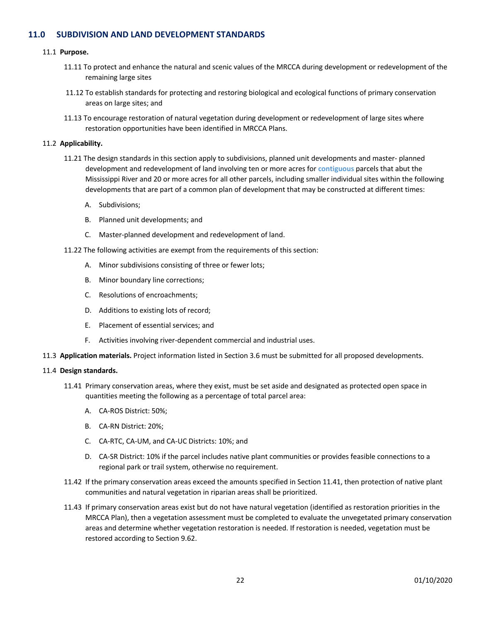# **11.0 SUBDIVISION AND LAND DEVELOPMENT STANDARDS**

#### 11.1 **Purpose.**

- 11.11 To protect and enhance the natural and scenic values of the MRCCA during development or redevelopment of the remaining large sites
- 11.12 To establish standards for protecting and restoring biological and ecological functions of primary conservation areas on large sites; and
- 11.13 To encourage restoration of natural vegetation during development or redevelopment of large sites where restoration opportunities have been identified in MRCCA Plans.

#### 11.2 **Applicability.**

- 11.21 The design standards in this section apply to subdivisions, planned unit developments and master- planned development and redevelopment of land involving ten or more acres for **contiguous** parcels that abut the Mississippi River and 20 or more acres for all other parcels, including smaller individual sites within the following developments that are part of a common plan of development that may be constructed at different times:
	- A. Subdivisions;
	- B. Planned unit developments; and
	- C. Master-planned development and redevelopment of land.
- 11.22 The following activities are exempt from the requirements of this section:
	- A. Minor subdivisions consisting of three or fewer lots;
	- B. Minor boundary line corrections;
	- C. Resolutions of encroachments;
	- D. Additions to existing lots of record;
	- E. Placement of essential services; and
	- F. Activities involving river-dependent commercial and industrial uses.
- 11.3 **Application materials.** Project information listed in Section 3.6 must be submitted for all proposed developments.

#### 11.4 **Design standards.**

- 11.41 Primary conservation areas, where they exist, must be set aside and designated as protected open space in quantities meeting the following as a percentage of total parcel area:
	- A. CA-ROS District: 50%;
	- B. CA-RN District: 20%;
	- C. CA-RTC, CA-UM, and CA-UC Districts: 10%; and
	- D. CA-SR District: 10% if the parcel includes native plant communities or provides feasible connections to a regional park or trail system, otherwise no requirement.
- 11.42 If the primary conservation areas exceed the amounts specified in Section 11.41, then protection of native plant communities and natural vegetation in riparian areas shall be prioritized.
- 11.43 If primary conservation areas exist but do not have natural vegetation (identified as restoration priorities in the MRCCA Plan), then a vegetation assessment must be completed to evaluate the unvegetated primary conservation areas and determine whether vegetation restoration is needed. If restoration is needed, vegetation must be restored according to Section 9.62.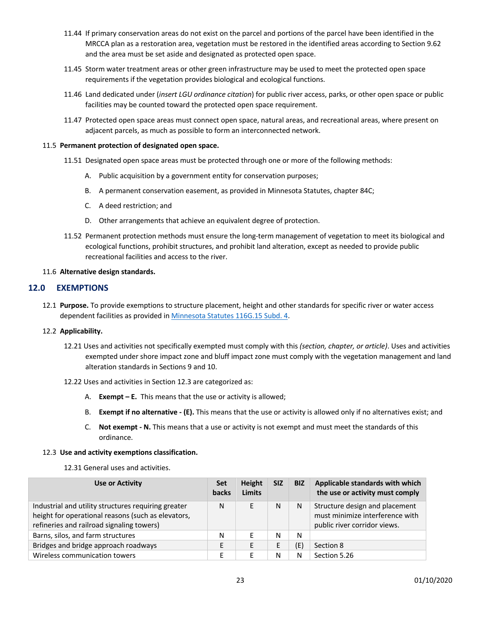- 11.44 If primary conservation areas do not exist on the parcel and portions of the parcel have been identified in the MRCCA plan as a restoration area, vegetation must be restored in the identified areas according to Section 9.62 and the area must be set aside and designated as protected open space.
- 11.45 Storm water treatment areas or other green infrastructure may be used to meet the protected open space requirements if the vegetation provides biological and ecological functions.
- 11.46 Land dedicated under (*insert LGU ordinance citation*) for public river access, parks, or other open space or public facilities may be counted toward the protected open space requirement.
- 11.47 Protected open space areas must connect open space, natural areas, and recreational areas, where present on adjacent parcels, as much as possible to form an interconnected network.

#### 11.5 **Permanent protection of designated open space.**

- 11.51 Designated open space areas must be protected through one or more of the following methods:
	- A. Public acquisition by a government entity for conservation purposes;
	- B. A permanent conservation easement, as provided in Minnesota Statutes, chapter 84C;
	- C. A deed restriction; and
	- D. Other arrangements that achieve an equivalent degree of protection.
- 11.52 Permanent protection methods must ensure the long-term management of vegetation to meet its biological and ecological functions, prohibit structures, and prohibit land alteration, except as needed to provide public recreational facilities and access to the river.

#### 11.6 **Alternative design standards.**

## **12.0 EXEMPTIONS**

12.1 **Purpose.** To provide exemptions to structure placement, height and other standards for specific river or water access dependent facilities as provided in Minnesota Statutes 116G.15 Subd. 4.

## 12.2 **Applicability.**

- 12.21 Uses and activities not specifically exempted must comply with this *(section, chapter, or article)*. Uses and activities exempted under shore impact zone and bluff impact zone must comply with the vegetation management and land alteration standards in Sections 9 and 10.
- 12.22 Uses and activities in Section 12.3 are categorized as:
	- A. **Exempt – E.** This means that the use or activity is allowed;
	- B. **Exempt if no alternative - (E).** This means that the use or activity is allowed only if no alternatives exist; and
	- C. **Not exempt - N.** This means that a use or activity is not exempt and must meet the standards of this ordinance.

#### 12.3 **Use and activity exemptions classification.**

12.31 General uses and activities.

| <b>Use or Activity</b>                                                                                                                                 | Set<br>backs | Height<br><b>Limits</b> | <b>SIZ</b> | <b>BIZ</b> | Applicable standards with which<br>the use or activity must comply                                |
|--------------------------------------------------------------------------------------------------------------------------------------------------------|--------------|-------------------------|------------|------------|---------------------------------------------------------------------------------------------------|
| Industrial and utility structures requiring greater<br>height for operational reasons (such as elevators,<br>refineries and railroad signaling towers) | Ν            |                         | N          | N          | Structure design and placement<br>must minimize interference with<br>public river corridor views. |
| Barns, silos, and farm structures                                                                                                                      | N            |                         | N          | N          |                                                                                                   |
| Bridges and bridge approach roadways                                                                                                                   | E            |                         | E          | (E)        | Section 8                                                                                         |
| Wireless communication towers                                                                                                                          | Е            | F                       | N          | N          | Section 5.26                                                                                      |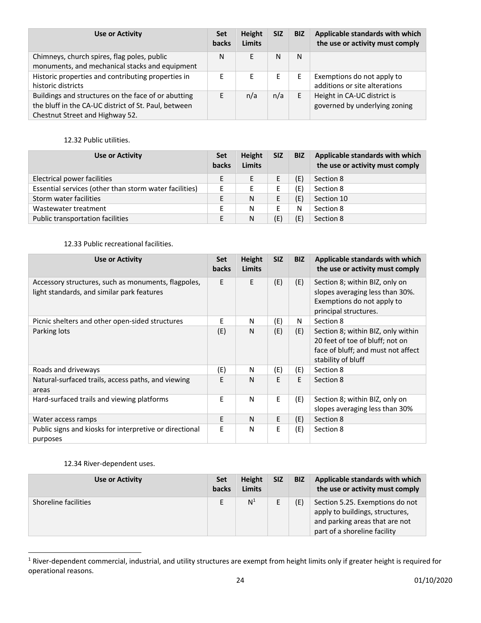| <b>Use or Activity</b>                                                                                                                         | Set<br><b>backs</b> | Height<br><b>Limits</b> | <b>SIZ</b> | <b>BIZ</b> | Applicable standards with which<br>the use or activity must comply |
|------------------------------------------------------------------------------------------------------------------------------------------------|---------------------|-------------------------|------------|------------|--------------------------------------------------------------------|
| Chimneys, church spires, flag poles, public<br>monuments, and mechanical stacks and equipment                                                  | N                   | F.                      | N          | N          |                                                                    |
| Historic properties and contributing properties in<br>historic districts                                                                       | E                   | E                       | Е          | E          | Exemptions do not apply to<br>additions or site alterations        |
| Buildings and structures on the face of or abutting<br>the bluff in the CA-UC district of St. Paul, between<br>Chestnut Street and Highway 52. | Е                   | n/a                     | n/a        | E          | Height in CA-UC district is<br>governed by underlying zoning       |

# 12.32 Public utilities.

| <b>Use or Activity</b>                                 |   | Height<br><b>Limits</b> | <b>SIZ</b> | <b>BIZ</b> | Applicable standards with which<br>the use or activity must comply |
|--------------------------------------------------------|---|-------------------------|------------|------------|--------------------------------------------------------------------|
| Electrical power facilities                            | Ε |                         |            | (E)        | Section 8                                                          |
| Essential services (other than storm water facilities) | E | F                       | Е          | (E)        | Section 8                                                          |
| Storm water facilities                                 | E | N                       | E          | (E)        | Section 10                                                         |
| Wastewater treatment                                   | E | N                       | F          | N          | Section 8                                                          |
| Public transportation facilities                       | E | N                       | (E)        | (E)        | Section 8                                                          |

# 12.33 Public recreational facilities.

| <b>Use or Activity</b>                                                                            | <b>Set</b><br><b>backs</b> | <b>Height</b><br>Limits | <b>SIZ</b> | <b>BIZ</b> | Applicable standards with which<br>the use or activity must comply                                                                |
|---------------------------------------------------------------------------------------------------|----------------------------|-------------------------|------------|------------|-----------------------------------------------------------------------------------------------------------------------------------|
| Accessory structures, such as monuments, flagpoles,<br>light standards, and similar park features | E                          | E                       | (E)        | (E)        | Section 8; within BIZ, only on<br>slopes averaging less than 30%.<br>Exemptions do not apply to<br>principal structures.          |
| Picnic shelters and other open-sided structures                                                   | E                          | N                       | (E)        | N          | Section 8                                                                                                                         |
| Parking lots                                                                                      | (E)                        | N                       | (E)        | (E)        | Section 8; within BIZ, only within<br>20 feet of toe of bluff; not on<br>face of bluff; and must not affect<br>stability of bluff |
| Roads and driveways                                                                               | (E)                        | N                       | (E)        | (E)        | Section 8                                                                                                                         |
| Natural-surfaced trails, access paths, and viewing<br>areas                                       | E                          | N                       | E          | E.         | Section 8                                                                                                                         |
| Hard-surfaced trails and viewing platforms                                                        | E.                         | N                       | E          | (E)        | Section 8; within BIZ, only on<br>slopes averaging less than 30%                                                                  |
| Water access ramps                                                                                | F.                         | N                       | Е          | (E)        | Section 8                                                                                                                         |
| Public signs and kiosks for interpretive or directional<br>purposes                               | E                          | N                       | E          | (E)        | Section 8                                                                                                                         |

# 12.34 River-dependent uses.

| Use or Activity      | Set<br>backs | Height<br><b>Limits</b> | <b>SIZ</b> | <b>BIZ</b> | Applicable standards with which<br>the use or activity must comply                                                                   |
|----------------------|--------------|-------------------------|------------|------------|--------------------------------------------------------------------------------------------------------------------------------------|
| Shoreline facilities |              | N <sup>1</sup>          |            | (E)        | Section 5.25. Exemptions do not<br>apply to buildings, structures,<br>and parking areas that are not<br>part of a shoreline facility |

<sup>&</sup>lt;sup>1</sup> River-dependent commercial, industrial, and utility structures are exempt from height limits only if greater height is required for operational reasons.